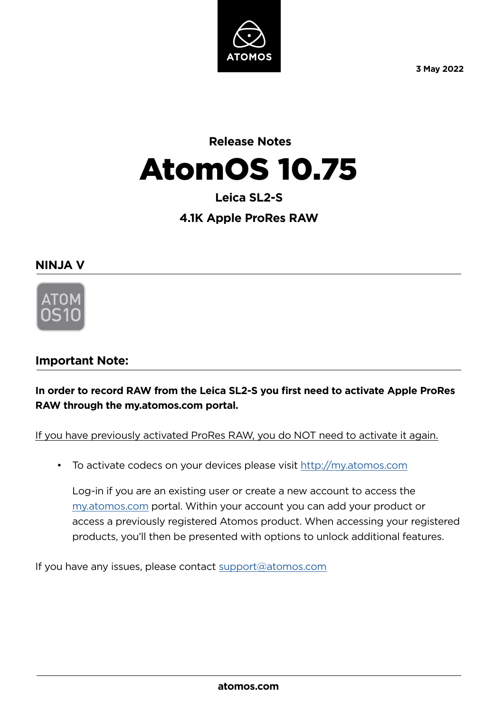

**3 May 2022**

# **Release Notes**  AtomOS 10.75

# **Leica SL2-S**

# **4.1K Apple ProRes RAW**

### **NINJA V**



# **Important Note:**

**In order to record RAW from the Leica SL2-S you first need to activate Apple ProRes RAW through the my.atomos.com portal.**

If you have previously activated ProRes RAW, you do NOT need to activate it again.

• To activate codecs on your devices please visit http://my.atomos.com

Log-in if you are an existing user or create a new account to access the my.atomos.com portal. Within your account you can add your product or access a previously registered Atomos product. When accessing your registered products, you'll then be presented with options to unlock additional features.

If you have any issues, please contact support@atomos.com